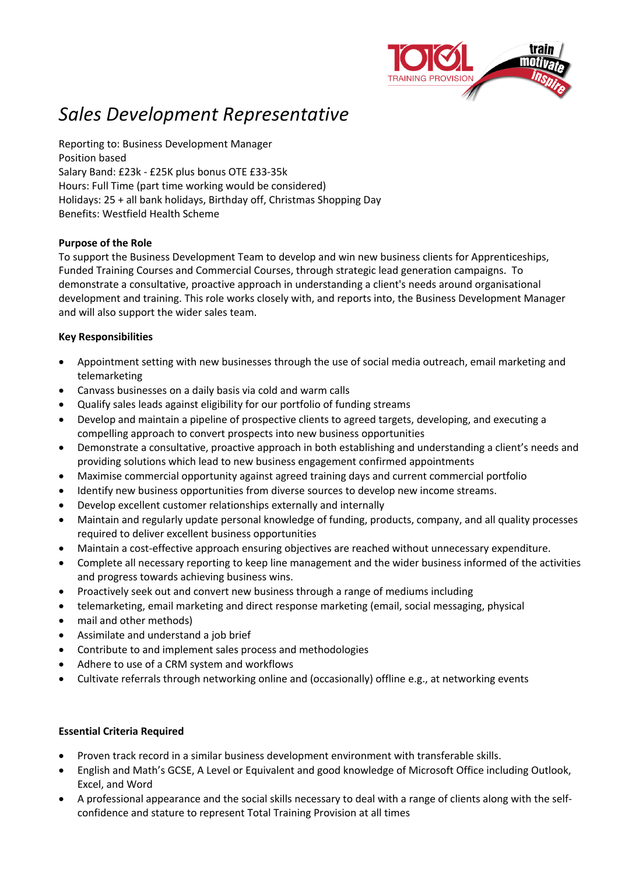

# *Sales Development Representative*

Reporting to: Business Development Manager Position based Salary Band: £23k - £25K plus bonus OTE £33-35k Hours: Full Time (part time working would be considered) Holidays: 25 + all bank holidays, Birthday off, Christmas Shopping Day Benefits: Westfield Health Scheme

#### **Purpose of the Role**

To support the Business Development Team to develop and win new business clients for Apprenticeships, Funded Training Courses and Commercial Courses, through strategic lead generation campaigns. To demonstrate a consultative, proactive approach in understanding a client's needs around organisational development and training. This role works closely with, and reports into, the Business Development Manager and will also support the wider sales team.

#### **Key Responsibilities**

- Appointment setting with new businesses through the use of social media outreach, email marketing and telemarketing
- Canvass businesses on a daily basis via cold and warm calls
- Qualify sales leads against eligibility for our portfolio of funding streams
- Develop and maintain a pipeline of prospective clients to agreed targets, developing, and executing a compelling approach to convert prospects into new business opportunities
- Demonstrate a consultative, proactive approach in both establishing and understanding a client's needs and providing solutions which lead to new business engagement confirmed appointments
- Maximise commercial opportunity against agreed training days and current commercial portfolio
- Identify new business opportunities from diverse sources to develop new income streams.
- Develop excellent customer relationships externally and internally
- Maintain and regularly update personal knowledge of funding, products, company, and all quality processes required to deliver excellent business opportunities
- Maintain a cost-effective approach ensuring objectives are reached without unnecessary expenditure.
- Complete all necessary reporting to keep line management and the wider business informed of the activities and progress towards achieving business wins.
- Proactively seek out and convert new business through a range of mediums including
- telemarketing, email marketing and direct response marketing (email, social messaging, physical
- mail and other methods)
- Assimilate and understand a job brief
- Contribute to and implement sales process and methodologies
- Adhere to use of a CRM system and workflows
- Cultivate referrals through networking online and (occasionally) offline e.g., at networking events

### **Essential Criteria Required**

- Proven track record in a similar business development environment with transferable skills.
- English and Math's GCSE, A Level or Equivalent and good knowledge of Microsoft Office including Outlook, Excel, and Word
- A professional appearance and the social skills necessary to deal with a range of clients along with the selfconfidence and stature to represent Total Training Provision at all times